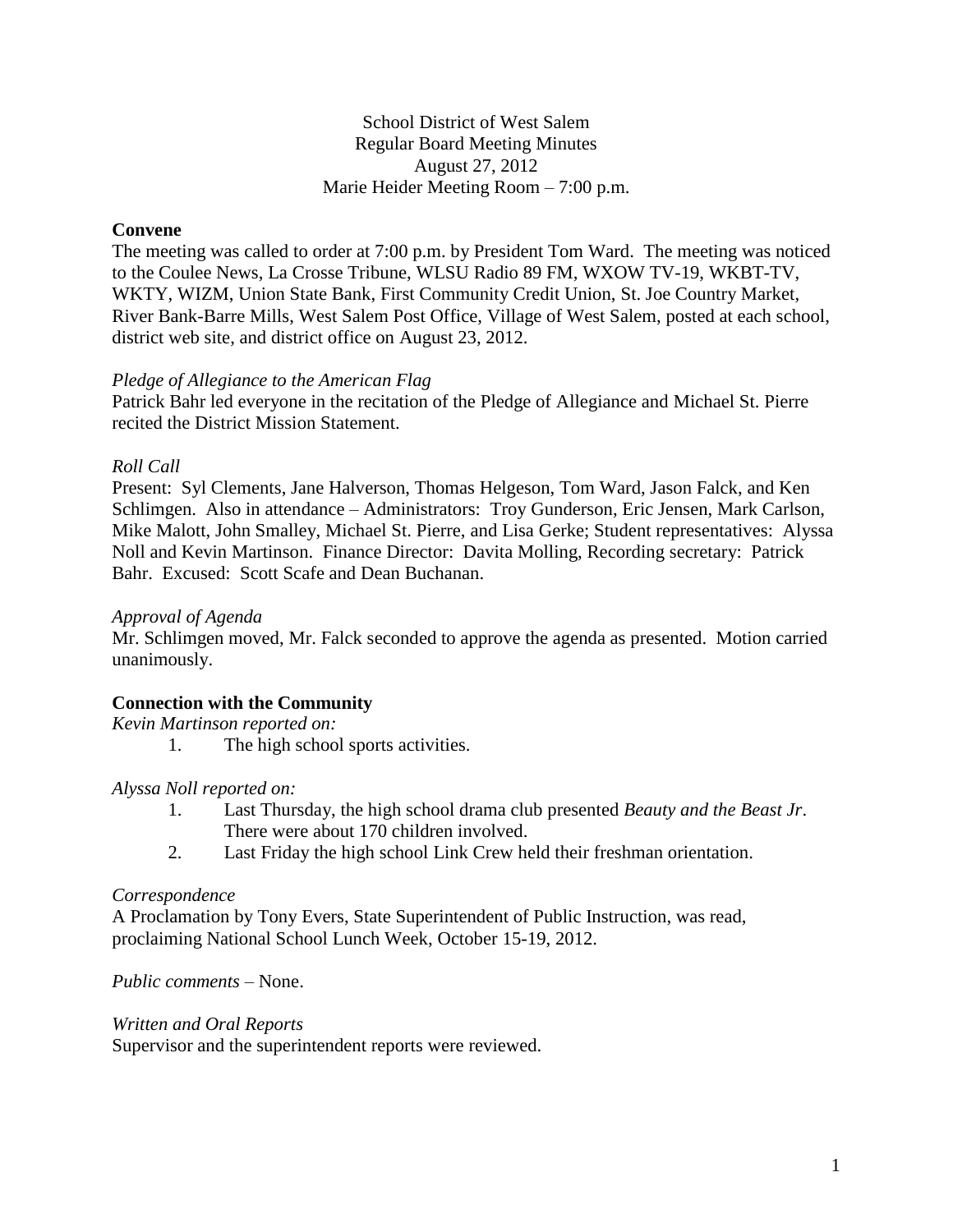School District of West Salem Regular Board Meeting Minutes August 27, 2012 Marie Heider Meeting Room – 7:00 p.m.

## **Convene**

The meeting was called to order at 7:00 p.m. by President Tom Ward. The meeting was noticed to the Coulee News, La Crosse Tribune, WLSU Radio 89 FM, WXOW TV-19, WKBT-TV, WKTY, WIZM, Union State Bank, First Community Credit Union, St. Joe Country Market, River Bank-Barre Mills, West Salem Post Office, Village of West Salem, posted at each school, district web site, and district office on August 23, 2012.

## *Pledge of Allegiance to the American Flag*

Patrick Bahr led everyone in the recitation of the Pledge of Allegiance and Michael St. Pierre recited the District Mission Statement.

## *Roll Call*

Present: Syl Clements, Jane Halverson, Thomas Helgeson, Tom Ward, Jason Falck, and Ken Schlimgen. Also in attendance – Administrators: Troy Gunderson, Eric Jensen, Mark Carlson, Mike Malott, John Smalley, Michael St. Pierre, and Lisa Gerke; Student representatives: Alyssa Noll and Kevin Martinson. Finance Director: Davita Molling, Recording secretary: Patrick Bahr. Excused: Scott Scafe and Dean Buchanan.

#### *Approval of Agenda*

Mr. Schlimgen moved, Mr. Falck seconded to approve the agenda as presented. Motion carried unanimously.

## **Connection with the Community**

*Kevin Martinson reported on:*

1. The high school sports activities.

## *Alyssa Noll reported on:*

- 1. Last Thursday, the high school drama club presented *Beauty and the Beast Jr*. There were about 170 children involved.
- 2. Last Friday the high school Link Crew held their freshman orientation.

#### *Correspondence*

A Proclamation by Tony Evers, State Superintendent of Public Instruction, was read, proclaiming National School Lunch Week, October 15-19, 2012.

*Public comments –* None.

#### *Written and Oral Reports*

Supervisor and the superintendent reports were reviewed.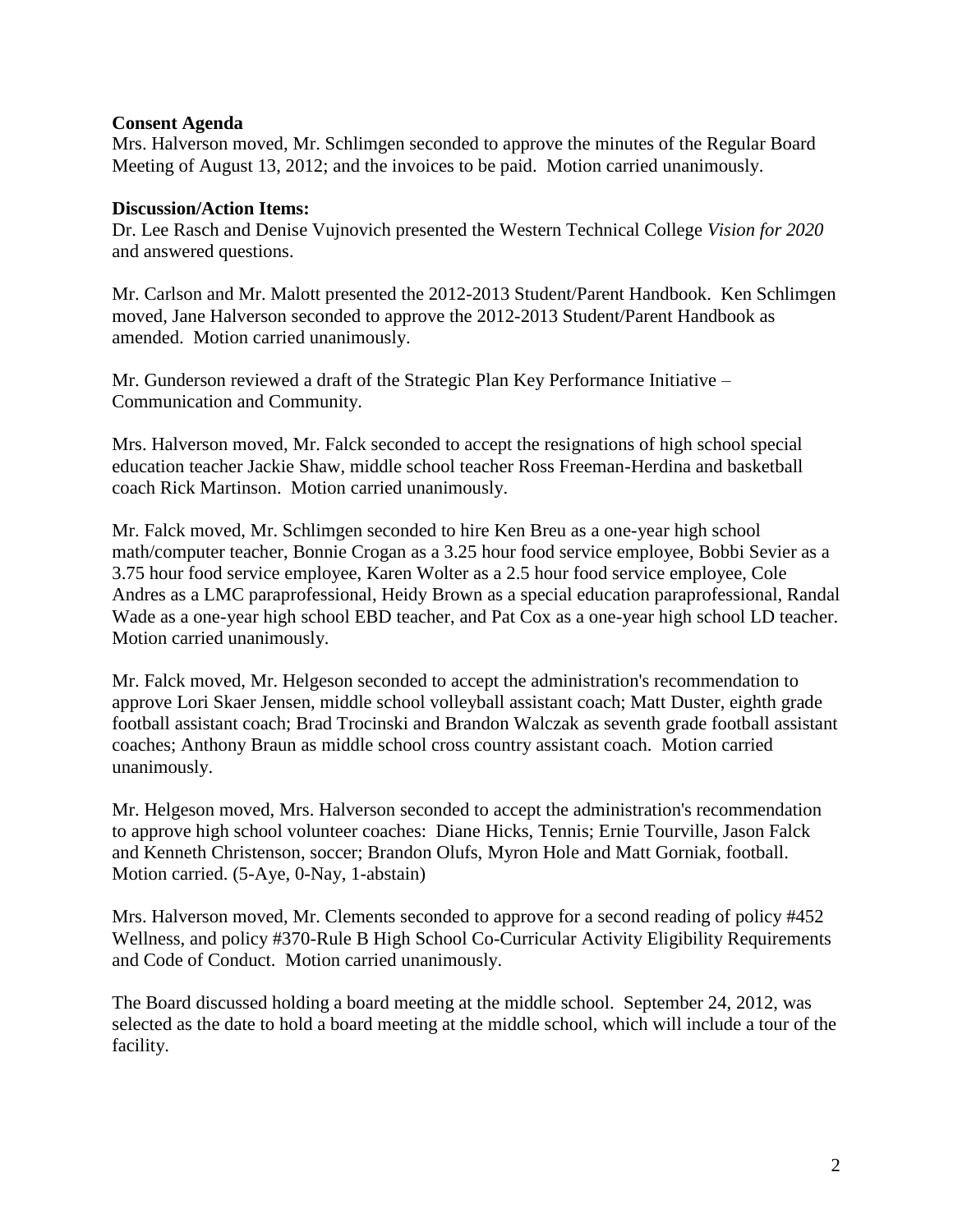## **Consent Agenda**

Mrs. Halverson moved, Mr. Schlimgen seconded to approve the minutes of the Regular Board Meeting of August 13, 2012; and the invoices to be paid. Motion carried unanimously.

## **Discussion/Action Items:**

Dr. Lee Rasch and Denise Vujnovich presented the Western Technical College *Vision for 2020* and answered questions.

Mr. Carlson and Mr. Malott presented the 2012-2013 Student/Parent Handbook. Ken Schlimgen moved, Jane Halverson seconded to approve the 2012-2013 Student/Parent Handbook as amended. Motion carried unanimously.

Mr. Gunderson reviewed a draft of the Strategic Plan Key Performance Initiative – Communication and Community.

Mrs. Halverson moved, Mr. Falck seconded to accept the resignations of high school special education teacher Jackie Shaw, middle school teacher Ross Freeman-Herdina and basketball coach Rick Martinson. Motion carried unanimously.

Mr. Falck moved, Mr. Schlimgen seconded to hire Ken Breu as a one-year high school math/computer teacher, Bonnie Crogan as a 3.25 hour food service employee, Bobbi Sevier as a 3.75 hour food service employee, Karen Wolter as a 2.5 hour food service employee, Cole Andres as a LMC paraprofessional, Heidy Brown as a special education paraprofessional, Randal Wade as a one-year high school EBD teacher, and Pat Cox as a one-year high school LD teacher. Motion carried unanimously.

Mr. Falck moved, Mr. Helgeson seconded to accept the administration's recommendation to approve Lori Skaer Jensen, middle school volleyball assistant coach; Matt Duster, eighth grade football assistant coach; Brad Trocinski and Brandon Walczak as seventh grade football assistant coaches; Anthony Braun as middle school cross country assistant coach. Motion carried unanimously.

Mr. Helgeson moved, Mrs. Halverson seconded to accept the administration's recommendation to approve high school volunteer coaches: Diane Hicks, Tennis; Ernie Tourville, Jason Falck and Kenneth Christenson, soccer; Brandon Olufs, Myron Hole and Matt Gorniak, football. Motion carried. (5-Aye, 0-Nay, 1-abstain)

Mrs. Halverson moved, Mr. Clements seconded to approve for a second reading of policy #452 Wellness, and policy #370-Rule B High School Co-Curricular Activity Eligibility Requirements and Code of Conduct. Motion carried unanimously.

The Board discussed holding a board meeting at the middle school. September 24, 2012, was selected as the date to hold a board meeting at the middle school, which will include a tour of the facility.